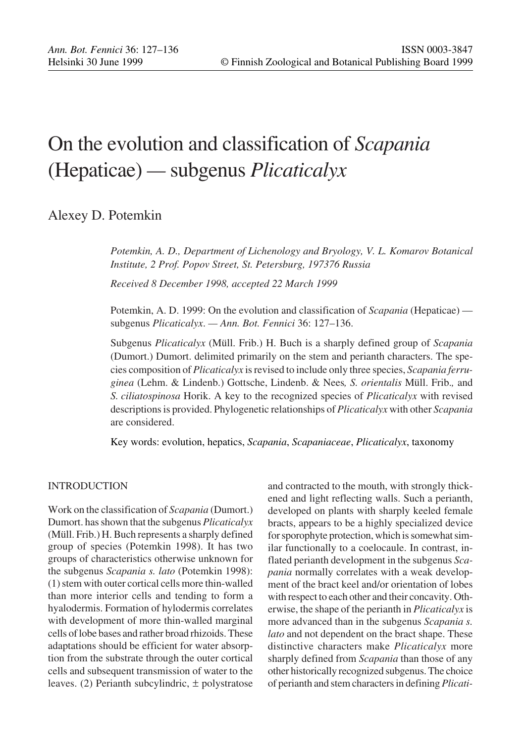# On the evolution and classification of *Scapania* (Hepaticae) *—* subgenus *Plicaticalyx*

# Alexey D. Potemkin

*Potemkin, A. D., Department of Lichenology and Bryology, V. L. Komarov Botanical Institute, 2 Prof. Popov Street, St. Petersburg, 197376 Russia*

*Received 8 December 1998, accepted 22 March 1999*

Potemkin, A. D. 1999: On the evolution and classification of *Scapania* (Hepaticae) subgenus *Plicaticalyx*. *— Ann. Bot. Fennici* 36: 127–136.

Subgenus *Plicaticalyx* (Müll. Frib.) H. Buch is a sharply defined group of *Scapania* (Dumort.) Dumort. delimited primarily on the stem and perianth characters. The species composition of *Plicaticalyx* is revised to include only three species, *Scapania ferruginea* (Lehm. & Lindenb.) Gottsche, Lindenb. & Nees*, S. orientalis* Müll. Frib.*,* and *S. ciliatospinosa* Horik. A key to the recognized species of *Plicaticalyx* with revised descriptions is provided. Phylogenetic relationships of *Plicaticalyx* with other *Scapania* are considered.

Key words: evolution, hepatics, *Scapania*, *Scapaniaceae*, *Plicaticalyx*, taxonomy

# INTRODUCTION

Work on the classification of *Scapania* (Dumort.) Dumort. has shown that the subgenus *Plicaticalyx* (Müll. Frib.) H. Buch represents a sharply defined group of species (Potemkin 1998). It has two groups of characteristics otherwise unknown for the subgenus *Scapania s. lato* (Potemkin 1998): (1) stem with outer cortical cells more thin-walled than more interior cells and tending to form a hyalodermis. Formation of hylodermis correlates with development of more thin-walled marginal cells of lobe bases and rather broad rhizoids. These adaptations should be efficient for water absorption from the substrate through the outer cortical cells and subsequent transmission of water to the leaves. (2) Perianth subcylindric,  $\pm$  polystratose

and contracted to the mouth, with strongly thickened and light reflecting walls. Such a perianth, developed on plants with sharply keeled female bracts, appears to be a highly specialized device for sporophyte protection, which is somewhat similar functionally to a coelocaule. In contrast, inflated perianth development in the subgenus *Scapania* normally correlates with a weak development of the bract keel and/or orientation of lobes with respect to each other and their concavity. Otherwise, the shape of the perianth in *Plicaticalyx* is more advanced than in the subgenus *Scapania s. lato* and not dependent on the bract shape. These distinctive characters make *Plicaticalyx* more sharply defined from *Scapania* than those of any other historically recognized subgenus. The choice of perianth and stem characters in defining *Plicati-*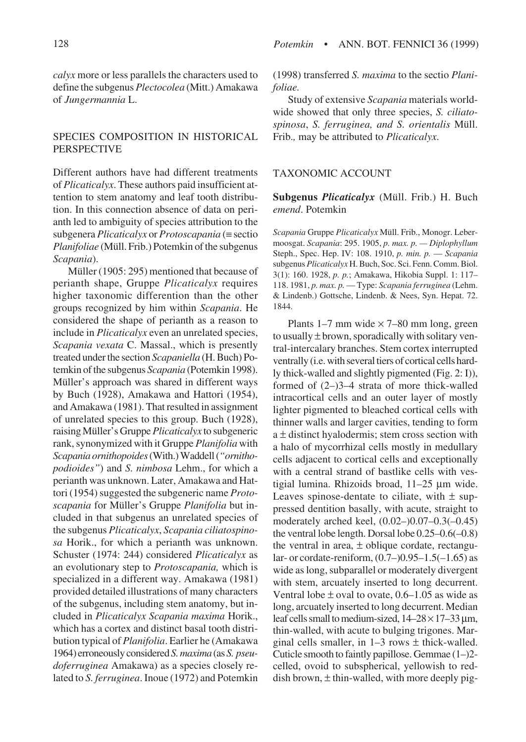*calyx* more or less parallels the characters used to define the subgenus *Plectocolea* (Mitt.) Amakawa of *Jungermannia* L.

# SPECIES COMPOSITION IN HISTORICAL PERSPECTIVE

Different authors have had different treatments of *Plicaticalyx*. These authors paid insufficient attention to stem anatomy and leaf tooth distribution. In this connection absence of data on perianth led to ambiguity of species attribution to the subgenera *Plicaticalyx* or *Protoscapania* (≡ sectio *Planifoliae* (Müll. Frib.) Potemkin of the subgenus *Scapania*).

Müller (1905: 295) mentioned that because of perianth shape, Gruppe *Plicaticalyx* requires higher taxonomic differention than the other groups recognized by him within *Scapania*. He considered the shape of perianth as a reason to include in *Plicaticalyx* even an unrelated species, *Scapania vexata* C. Massal., which is presently treated under the section *Scapaniella* (H. Buch) Potemkin of the subgenus *Scapania* (Potemkin 1998). Müller's approach was shared in different ways by Buch (1928), Amakawa and Hattori (1954), and Amakawa (1981). That resulted in assignment of unrelated species to this group. Buch (1928), raising Müller's Gruppe *Plicaticalyx* to subgeneric rank, synonymized with it Gruppe *Planifolia* with *Scapania ornithopoides* (With.) Waddell (*"ornithopodioides"*) and *S. nimbosa* Lehm., for which a perianth was unknown. Later, Amakawa and Hattori (1954) suggested the subgeneric name *Protoscapania* for Müller's Gruppe *Planifolia* but included in that subgenus an unrelated species of the subgenus *Plicaticalyx*, *Scapania ciliatospinosa* Horik., for which a perianth was unknown. Schuster (1974: 244) considered *Plicaticalyx* as an evolutionary step to *Protoscapania,* which is specialized in a different way. Amakawa (1981) provided detailed illustrations of many characters of the subgenus, including stem anatomy, but included in *Plicaticalyx Scapania maxima* Horik., which has a cortex and distinct basal tooth distribution typical of *Planifolia*. Earlier he (Amakawa 1964) erroneously considered *S. maxima* (as *S. pseudoferruginea* Amakawa) as a species closely related to *S. ferruginea*. Inoue (1972) and Potemkin

(1998) transferred *S. maxima* to the sectio *Planifoliae.*

Study of extensive *Scapania* materials worldwide showed that only three species, *S. ciliatospinosa*, *S. ferruginea, and S. orientalis* Müll. Frib.*,* may be attributed to *Plicaticalyx*.

### TAXONOMIC ACCOUNT

**Subgenus** *Plicaticalyx* (Müll. Frib.) H. Buch *emend*. Potemkin

*Scapania* Gruppe *Plicaticalyx* Müll. Frib., Monogr. Lebermoosgat. *Scapania*: 295. 1905, *p. max. p. — Diplophyllum* Steph., Spec. Hep. IV: 108. 1910, *p. min. p.* — *Scapania* subgenus *Plicaticalyx* H. Buch, Soc. Sci. Fenn. Comm. Biol. 3(1): 160. 1928, *p. p.*; Amakawa, Hikobia Suppl. 1: 117– 118. 1981, *p. max. p.* — Type: *Scapania ferruginea* (Lehm. & Lindenb.) Gottsche, Lindenb. & Nees, Syn. Hepat. 72. 1844.

Plants  $1-7$  mm wide  $\times$  7–80 mm long, green to usually  $\pm$  brown, sporadically with solitary ventral-intercalary branches. Stem cortex interrupted ventrally (i.e. with several tiers of cortical cells hardly thick-walled and slightly pigmented (Fig. 2: I)), formed of (2–)3–4 strata of more thick-walled intracortical cells and an outer layer of mostly lighter pigmented to bleached cortical cells with thinner walls and larger cavities, tending to form  $a \pm$  distinct hyalodermis; stem cross section with a halo of mycorrhizal cells mostly in medullary cells adjacent to cortical cells and exceptionally with a central strand of bastlike cells with vestigial lumina. Rhizoids broad, 11–25 µm wide. Leaves spinose-dentate to ciliate, with  $\pm$  suppressed dentition basally, with acute, straight to moderately arched keel, (0.02–)0.07–0.3(–0.45) the ventral lobe length. Dorsal lobe 0.25–0.6(–0.8) the ventral in area,  $\pm$  oblique cordate, rectangular- or cordate-reniform,  $(0.7-)0.95-1.5(-1.65)$  as wide as long, subparallel or moderately divergent with stem, arcuately inserted to long decurrent. Ventral lobe  $\pm$  oval to ovate, 0.6–1.05 as wide as long, arcuately inserted to long decurrent. Median leaf cells small to medium-sized,  $14-28 \times 17-33 \,\mu$ m, thin-walled, with acute to bulging trigones. Marginal cells smaller, in  $1-3$  rows  $\pm$  thick-walled. Cuticle smooth to faintly papillose. Gemmae (1–)2 celled, ovoid to subspherical, yellowish to reddish brown,  $\pm$  thin-walled, with more deeply pig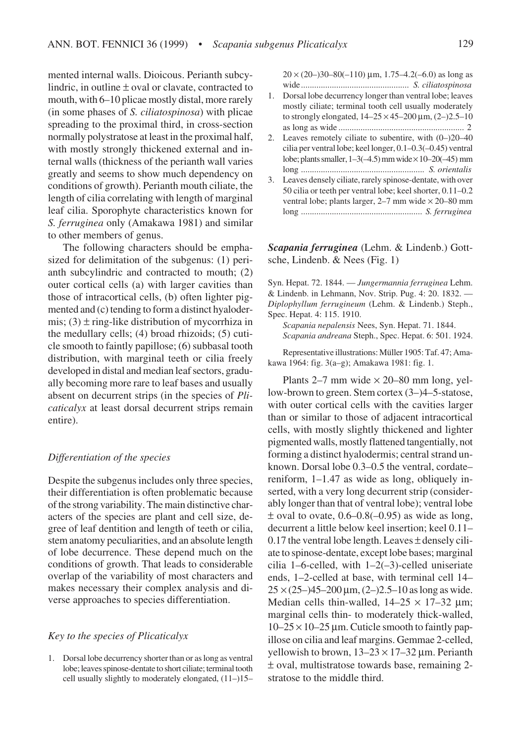mented internal walls. Dioicous. Perianth subcylindric, in outline  $\pm$  oval or clavate, contracted to mouth, with 6–10 plicae mostly distal, more rarely (in some phases of *S. ciliatospinosa*) with plicae spreading to the proximal third, in cross-section normally polystratose at least in the proximal half, with mostly strongly thickened external and internal walls (thickness of the perianth wall varies greatly and seems to show much dependency on conditions of growth). Perianth mouth ciliate, the length of cilia correlating with length of marginal leaf cilia. Sporophyte characteristics known for *S. ferruginea* only (Amakawa 1981) and similar to other members of genus.

The following characters should be emphasized for delimitation of the subgenus: (1) perianth subcylindric and contracted to mouth; (2) outer cortical cells (a) with larger cavities than those of intracortical cells, (b) often lighter pigmented and (c) tending to form a distinct hyalodermis;  $(3) \pm$  ring-like distribution of mycorrhiza in the medullary cells; (4) broad rhizoids; (5) cuticle smooth to faintly papillose; (6) subbasal tooth distribution, with marginal teeth or cilia freely developed in distal and median leaf sectors, gradually becoming more rare to leaf bases and usually absent on decurrent strips (in the species of *Plicaticalyx* at least dorsal decurrent strips remain entire).

# *Differentiation of the species*

Despite the subgenus includes only three species, their differentiation is often problematic because of the strong variability. The main distinctive characters of the species are plant and cell size, degree of leaf dentition and length of teeth or cilia, stem anatomy peculiarities, and an absolute length of lobe decurrence. These depend much on the conditions of growth. That leads to considerable overlap of the variability of most characters and makes necessary their complex analysis and diverse approaches to species differentiation.

# *Key to the species of Plicaticalyx*

1. Dorsal lobe decurrency shorter than or as long as ventral lobe; leaves spinose-dentate to short ciliate; terminal tooth cell usually slightly to moderately elongated, (11–)15–  $20 \times (20-)30-80(-110)$  µm, 1.75-4.2(-6.0) as long as wide................................................. *S. ciliatospinosa*

- 1. Dorsal lobe decurrency longer than ventral lobe; leaves mostly ciliate; terminal tooth cell usually moderately to strongly elongated,  $14-25 \times 45-200 \,\mu m$ ,  $(2-)2.5-10$ as long as wide ......................................................... 2
- 2. Leaves remotely ciliate to subentire, with (0–)20–40 cilia per ventral lobe; keel longer, 0.1–0.3(–0.45) ventral lobe; plants smaller,  $1-3(-4.5)$  mm wide  $\times 10-20(-45)$  mm long ........................................................ *S. orientalis*
- 3. Leaves densely ciliate, rarely spinose-dentate, with over 50 cilia or teeth per ventral lobe; keel shorter, 0.11–0.2 ventral lobe; plants larger,  $2-7$  mm wide  $\times 20-80$  mm long ....................................................... *S. ferruginea*

# *Scapania ferruginea* (Lehm. & Lindenb.) Gottsche, Lindenb. & Nees (Fig. 1)

Syn. Hepat. 72. 1844. — *Jungermannia ferruginea* Lehm. & Lindenb. in Lehmann, Nov. Strip. Pug. 4: 20. 1832. — *Diplophyllum ferrugineum* (Lehm. & Lindenb.) Steph., Spec. Hepat. 4: 115. 1910.

*Scapania nepalensis* Nees, Syn. Hepat. 71. 1844. *Scapania andreana* Steph., Spec. Hepat. 6: 501. 1924.

Representative illustrations: Müller 1905: Taf. 47; Amakawa 1964: fig. 3(a–g); Amakawa 1981: fig. 1.

Plants 2–7 mm wide  $\times$  20–80 mm long, yellow-brown to green. Stem cortex (3–)4–5-statose, with outer cortical cells with the cavities larger than or similar to those of adjacent intracortical cells, with mostly slightly thickened and lighter pigmented walls, mostly flattened tangentially, not forming a distinct hyalodermis; central strand unknown. Dorsal lobe 0.3–0.5 the ventral, cordate– reniform, 1–1.47 as wide as long, obliquely inserted, with a very long decurrent strip (considerably longer than that of ventral lobe); ventral lobe  $\pm$  oval to ovate, 0.6–0.8(–0.95) as wide as long, decurrent a little below keel insertion; keel 0.11– 0.17 the ventral lobe length. Leaves  $\pm$  densely ciliate to spinose-dentate, except lobe bases; marginal cilia 1–6-celled, with 1–2(–3)-celled uniseriate ends, 1–2-celled at base, with terminal cell 14–  $25 \times (25-)45-200 \,\mu m$ ,  $(2-)2.5-10$  as long as wide. Median cells thin-walled,  $14-25 \times 17-32$  µm; marginal cells thin- to moderately thick-walled,  $10-25 \times 10-25$  µm. Cuticle smooth to faintly papillose on cilia and leaf margins. Gemmae 2-celled, yellowish to brown,  $13-23 \times 17-32 \mu$ m. Perianth ± oval, multistratose towards base, remaining 2 stratose to the middle third.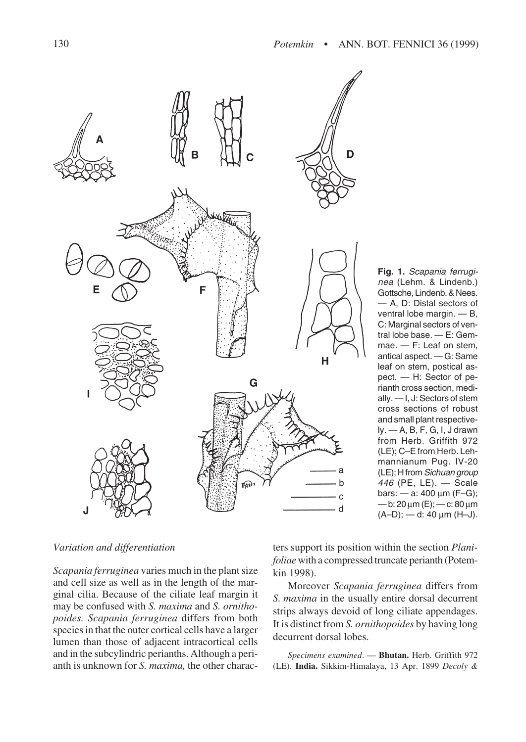

**Fig. 1.** Scapania ferruginea (Lehm. & Lindenb.) Gottsche, Lindenb. & Nees. — A, D: Distal sectors of ventral lobe margin. — B, C: Marginal sectors of ventral lobe base. — E: Gemmae. — F: Leaf on stem, antical aspect. — G: Same leaf on stem, postical aspect. — H: Sector of perianth cross section, medially. — I, J: Sectors of stem cross sections of robust and small plant respectively. — A, B, F, G, I, J drawn from Herb. Griffith 972 (LE); C–E from Herb. Lehmannianum Pug. IV-20 (LE); H from Sichuan group 446 (PE, LE). — Scale bars: — a: 400 µm (F–G); — b: 20 µm (E); — c: 80 µm  $(A-D)$ ; - d: 40  $\mu$ m (H-J).

# *Variation and differentiation*

*Scapania ferruginea* varies much in the plant size and cell size as well as in the length of the marginal cilia. Because of the ciliate leaf margin it may be confused with *S. maxima* and *S. ornithopoides. Scapania ferruginea* differs from both species in that the outer cortical cells have a larger lumen than those of adjacent intracortical cells and in the subcylindric perianths. Although a perianth is unknown for *S. maxima,* the other charac-

ters support its position within the section *Planifoliae* with a compressed truncate perianth (Potemkin 1998).

Moreover *Scapania ferruginea* differs from *S. maxima* in the usually entire dorsal decurrent strips always devoid of long ciliate appendages. It is distinct from *S. ornithopoides* by having long decurrent dorsal lobes.

*Specimens examined*. — **Bhutan.** Herb. Griffith 972 (LE). **India.** Sikkim-Himalaya, 13 Apr. 1899 *Decoly &*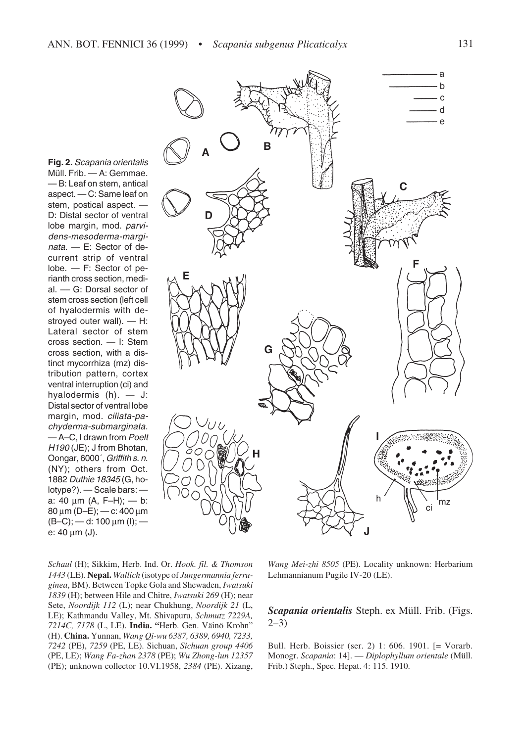**Fig. 2.** Scapania orientalis Müll. Frib. — A: Gemmae. — B: Leaf on stem, antical aspect. — C: Same leaf on stem, postical aspect. — D: Distal sector of ventral lobe margin, mod. parvidens-mesoderma-marginata. — E: Sector of decurrent strip of ventral lobe. — F: Sector of perianth cross section, medial. –– G: Dorsal sector of stem cross section (left cell of hyalodermis with destroyed outer wall). — H: Lateral sector of stem cross section. — I: Stem cross section, with a distinct mycorrhiza (mz) distribution pattern, cortex ventral interruption (ci) and hyalodermis (h). — J: Distal sector of ventral lobe margin, mod. ciliata-pachyderma-submarginata. — A–C, I drawn from Poelt H190 (JE); J from Bhotan, Oongar, 6000´, Griffith s. n. (NY); others from Oct. 1882 Duthie 18345 (G, holotype?). — Scale bars: a: 40 µm (A, F–H); — b: 80 µm (D–E); — c: 400 µm  $(B-C)$ ; — d: 100 µm (l); e: 40 µm (J).



*Schaul* (H); Sikkim, Herb. Ind. Or. *Hook. fil. & Thomson 1443* (LE). **Nepal.** *Wallich* (isotype of *Jungermannia ferruginea*, BM). Between Topke Gola and Shewaden, *Iwatsuki 1839* (H); between Hile and Chitre, *Iwatsuki 269* (H); near Sete, *Noordijk 112* (L); near Chukhung, *Noordijk 21* (L, LE); Kathmandu Valley, Mt. Shivapuru, *Schmutz 7229A, 7214C, 7178* (L, LE). **India. "**Herb. Gen. Väinö Krohn" (H). **China.** Yunnan, *Wang Qi-wu 6387, 6389, 6940, 7233, 7242* (PE), *7259* (PE, LE). Sichuan, *Sichuan group 4406* (PE, LE); *Wang Fa-zhan 2378* (PE); *Wu Zhong-lun 12357* (PE); unknown collector 10.VI.1958, *2384* (PE). Xizang,

*Wang Mei-zhi 8505* (PE). Locality unknown: Herbarium Lehmannianum Pugile IV-20 (LE).

# *Scapania orientalis* Steph. ex Müll. Frib. (Figs. 2–3)

Bull. Herb. Boissier (ser. 2) 1: 606. 1901. [= Vorarb. Monogr. *Scapania*: 14]. — *Diplophyllum orientale* (Müll. Frib.) Steph., Spec. Hepat. 4: 115. 1910.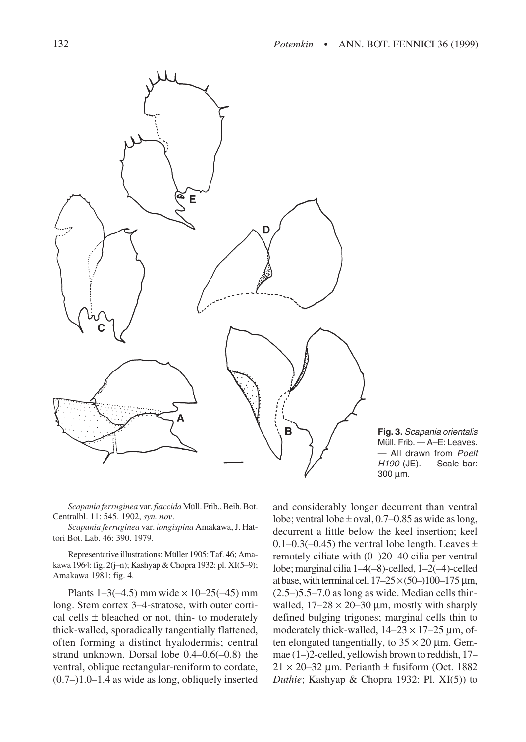

**Fig. 3.** Scapania orientalis Müll. Frib. — A–E: Leaves. - All drawn from Poelt H190 (JE). — Scale bar: 300 µm.

*Scapania ferruginea* var. *flaccida* Müll. Frib., Beih. Bot. Centralbl. 11: 545. 1902, *syn. nov*.

*Scapania ferruginea* var. *longispina* Amakawa, J. Hattori Bot. Lab. 46: 390. 1979.

Representative illustrations: Müller 1905: Taf. 46; Amakawa 1964: fig. 2(j–n); Kashyap & Chopra 1932: pl. XI(5–9); Amakawa 1981: fig. 4.

Plants  $1-3(-4.5)$  mm wide  $\times 10-25(-45)$  mm long. Stem cortex 3–4-stratose, with outer cortical cells  $\pm$  bleached or not, thin- to moderately thick-walled, sporadically tangentially flattened, often forming a distinct hyalodermis; central strand unknown. Dorsal lobe 0.4–0.6(–0.8) the ventral, oblique rectangular-reniform to cordate, (0.7–)1.0–1.4 as wide as long, obliquely inserted and considerably longer decurrent than ventral lobe; ventral lobe  $\pm$  oval, 0.7–0.85 as wide as long, decurrent a little below the keel insertion; keel 0.1–0.3(–0.45) the ventral lobe length. Leaves  $\pm$ remotely ciliate with (0–)20–40 cilia per ventral lobe; marginal cilia 1–4(–8)-celled, 1–2(–4)-celled at base, with terminal cell  $17-25 \times (50-)100-175 \,\mu m$ , (2.5–)5.5–7.0 as long as wide. Median cells thinwalled,  $17-28 \times 20-30 \mu m$ , mostly with sharply defined bulging trigones; marginal cells thin to moderately thick-walled,  $14-23 \times 17-25$  µm, often elongated tangentially, to  $35 \times 20$  µm. Gemmae (1–)2-celled, yellowish brown to reddish, 17–  $21 \times 20 - 32$  µm. Perianth  $\pm$  fusiform (Oct. 1882) *Duthie*; Kashyap & Chopra 1932: Pl. XI(5)) to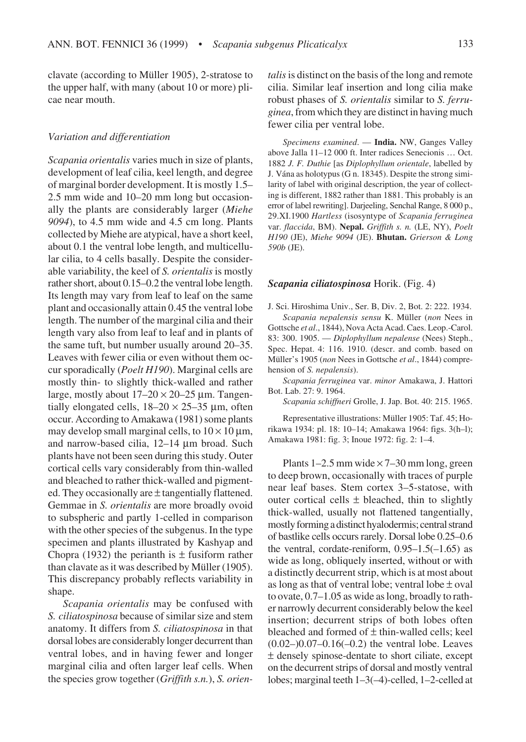clavate (according to Müller 1905), 2-stratose to the upper half, with many (about 10 or more) plicae near mouth.

# *Variation and differentiation*

*Scapania orientalis* varies much in size of plants, development of leaf cilia, keel length, and degree of marginal border development. It is mostly 1.5– 2.5 mm wide and 10–20 mm long but occasionally the plants are considerably larger (*Miehe 9094*), to 4.5 mm wide and 4.5 cm long. Plants collected by Miehe are atypical, have a short keel, about 0.1 the ventral lobe length, and multicellular cilia, to 4 cells basally. Despite the considerable variability, the keel of *S. orientalis* is mostly rather short, about 0.15–0.2 the ventral lobe length. Its length may vary from leaf to leaf on the same plant and occasionally attain 0.45 the ventral lobe length. The number of the marginal cilia and their length vary also from leaf to leaf and in plants of the same tuft, but number usually around 20–35. Leaves with fewer cilia or even without them occur sporadically (*Poelt H190*). Marginal cells are mostly thin- to slightly thick-walled and rather large, mostly about  $17-20 \times 20-25$  µm. Tangentially elongated cells,  $18-20 \times 25-35 \mu m$ , often occur. According to Amakawa (1981) some plants may develop small marginal cells, to  $10 \times 10 \,\mu$ m, and narrow-based cilia, 12–14 µm broad. Such plants have not been seen during this study. Outer cortical cells vary considerably from thin-walled and bleached to rather thick-walled and pigmented. They occasionally are  $\pm$  tangentially flattened. Gemmae in *S. orientalis* are more broadly ovoid to subspheric and partly 1-celled in comparison with the other species of the subgenus. In the type specimen and plants illustrated by Kashyap and Chopra (1932) the perianth is  $\pm$  fusiform rather than clavate as it was described by Müller (1905). This discrepancy probably reflects variability in shape.

*Scapania orientalis* may be confused with *S. ciliatospinosa* because of similar size and stem anatomy. It differs from *S. ciliatospinosa* in that dorsal lobes are considerably longer decurrent than ventral lobes, and in having fewer and longer marginal cilia and often larger leaf cells. When the species grow together (*Griffith s.n.*), *S. orien-*

*talis* is distinct on the basis of the long and remote cilia. Similar leaf insertion and long cilia make robust phases of *S. orientalis* similar to *S. ferruginea*, from which they are distinct in having much fewer cilia per ventral lobe.

*Specimens examined*. — **India.** NW, Ganges Valley above Jalla 11–12 000 ft. Inter radices Senecionis … Oct. 1882 *J. F. Duthie* [as *Diplophyllum orientale*, labelled by J. Vána as holotypus (G n. 18345). Despite the strong similarity of label with original description, the year of collecting is different, 1882 rather than 1881. This probably is an error of label rewriting]. Darjeeling, Senchal Range, 8 000 p., 29.XI.1900 *Hartless* (isosyntype of *Scapania ferruginea* var. *flaccida*, BM). **Nepal.** *Griffith s. n.* (LE, NY), *Poelt H190* (JE), *Miehe 9094* (JE). **Bhutan.** *Grierson & Long 590b* (JE).

#### *Scapania ciliatospinosa* Horik. (Fig. 4)

J. Sci. Hiroshima Univ., Ser. B, Div. 2, Bot. 2: 222. 1934. *Scapania nepalensis sensu* K. Müller (*non* Nees in Gottsche *et al*., 1844), Nova Acta Acad. Caes. Leop.-Carol. 83: 300. 1905. — *Diplophyllum nepalense* (Nees) Steph., Spec. Hepat. 4: 116. 1910. (descr. and comb. based on Müller's 1905 (*non* Nees in Gottsche *et al*., 1844) comprehension of *S. nepalensis*).

*Scapania ferruginea* var. *minor* Amakawa, J. Hattori Bot. Lab. 27: 9. 1964.

*Scapania schiffneri* Grolle, J. Jap. Bot. 40: 215. 1965.

Representative illustrations: Müller 1905: Taf. 45; Horikawa 1934: pl. 18: 10–14; Amakawa 1964: figs. 3(h–l); Amakawa 1981: fig. 3; Inoue 1972: fig. 2: 1–4.

Plants  $1-2.5$  mm wide  $\times$  7-30 mm long, green to deep brown, occasionally with traces of purple near leaf bases. Stem cortex 3–5-statose, with outer cortical cells  $\pm$  bleached, thin to slightly thick-walled, usually not flattened tangentially, mostly forming a distinct hyalodermis; central strand of bastlike cells occurs rarely. Dorsal lobe 0.25–0.6 the ventral, cordate-reniform,  $0.95-1.5(-1.65)$  as wide as long, obliquely inserted, without or with a distinctly decurrent strip, which is at most about as long as that of ventral lobe; ventral lobe  $\pm$  oval to ovate, 0.7–1.05 as wide as long, broadly to rather narrowly decurrent considerably below the keel insertion; decurrent strips of both lobes often bleached and formed of  $\pm$  thin-walled cells; keel  $(0.02-)0.07-0.16(-0.2)$  the ventral lobe. Leaves ± densely spinose-dentate to short ciliate, except on the decurrent strips of dorsal and mostly ventral lobes; marginal teeth 1–3(–4)-celled, 1–2-celled at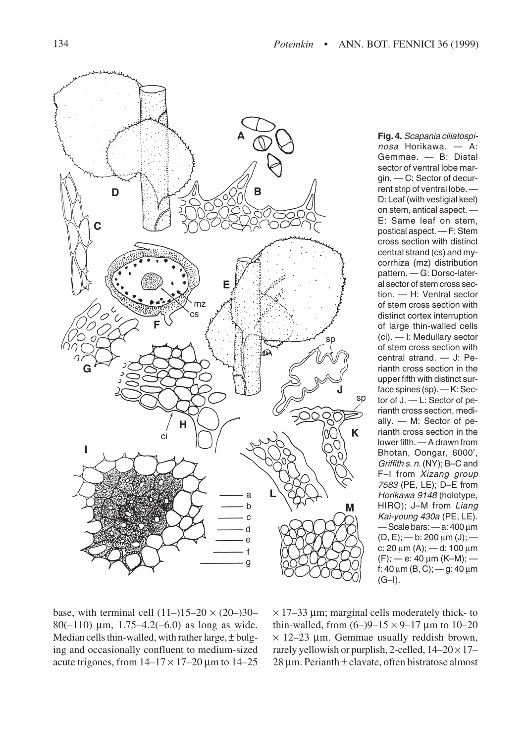

**Fig. 4.** Scapania ciliatospinosa Horikawa. — A: Gemmae. — B: Distal sector of ventral lobe margin. — C: Sector of decurrent strip of ventral lobe. — D: Leaf (with vestigial keel) on stem, antical aspect. — E: Same leaf on stem, postical aspect. — F: Stem cross section with distinct central strand (cs) and mycorrhiza (mz) distribution pattern. — G: Dorso-lateral sector of stem cross section. — H: Ventral sector of stem cross section with distinct cortex interruption of large thin-walled cells (ci). — I: Medullary sector of stem cross section with central strand. — J: Perianth cross section in the upper fifth with distinct surface spines (sp). — K: Sector of J. — L: Sector of perianth cross section, medially. — M: Sector of perianth cross section in the lower fifth. — A drawn from Bhotan, Oongar, 6000', Griffith s. n. (NY); B–C and F-I from Xizang group 7583 (PE, LE); D–E from Horikawa 9148 (holotype, HIRO); J-M from Liang Kai-young 430a (PE, LE). — Scale bars: — a: 400 µm  $(D, E)$ ; - b: 200 µm (J); c: 20  $\mu$ m (A); — d: 100  $\mu$ m  $(F)$ ; — e: 40 µm (K–M); f:  $40 \mu m$  (B, C); — g:  $40 \mu m$ (G–I).

base, with terminal cell  $(11–)15–20 \times (20–)30–$ 80( $-110$ )  $\mu$ m, 1.75 $-4.2(-6.0)$  as long as wide. Median cells thin-walled, with rather large,  $\pm$  bulging and occasionally confluent to medium-sized acute trigones, from  $14-17 \times 17-20$  µm to  $14-25$ 

 $\times$  17–33 µm; marginal cells moderately thick- to thin-walled, from  $(6-9-15 \times 9-17)$  um to 10-20  $\times$  12–23 µm. Gemmae usually reddish brown, rarely yellowish or purplish, 2-celled,  $14-20 \times 17 28 \mu m$ . Perianth  $\pm$  clavate, often bistratose almost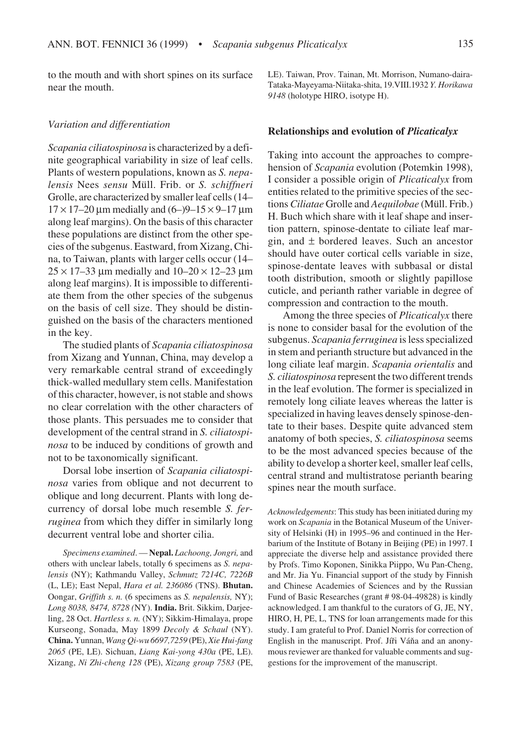to the mouth and with short spines on its surface near the mouth.

#### *Variation and differentiation*

*Scapania ciliatospinosa* is characterized by a definite geographical variability in size of leaf cells. Plants of western populations, known as *S. nepalensis* Nees *sensu* Müll. Frib. or *S. schiffneri* Grolle, are characterized by smaller leaf cells (14–  $17 \times 17$ –20 µm medially and  $(6-)$ 9–15  $\times$  9–17 µm along leaf margins). On the basis of this character these populations are distinct from the other species of the subgenus. Eastward, from Xizang, China, to Taiwan, plants with larger cells occur (14–  $25 \times 17 - 33$  µm medially and  $10 - 20 \times 12 - 23$  µm along leaf margins). It is impossible to differentiate them from the other species of the subgenus on the basis of cell size. They should be distinguished on the basis of the characters mentioned in the key.

The studied plants of *Scapania ciliatospinosa* from Xizang and Yunnan, China, may develop a very remarkable central strand of exceedingly thick-walled medullary stem cells. Manifestation of this character, however, is not stable and shows no clear correlation with the other characters of those plants. This persuades me to consider that development of the central strand in *S. ciliatospinosa* to be induced by conditions of growth and not to be taxonomically significant.

Dorsal lobe insertion of *Scapania ciliatospinosa* varies from oblique and not decurrent to oblique and long decurrent. Plants with long decurrency of dorsal lobe much resemble *S. ferruginea* from which they differ in similarly long decurrent ventral lobe and shorter cilia.

*Specimens examined*. — **Nepal.** *Lachoong, Jongri,* and others with unclear labels, totally 6 specimens as *S. nepalensis* (NY); Kathmandu Valley, *Schmutz 7214C, 7226B* (L, LE); East Nepal, *Hara et al. 236086* (TNS). **Bhutan.** Oongar, *Griffith s. n.* (6 specimens as *S. nepalensis,* NY); *Long 8038, 8474, 8728 (*NY). **India.** Brit. Sikkim, Darjeeling, 28 Oct. *Hartless s. n.* (NY); Sikkim-Himalaya, prope Kurseong, Sonada, May 1899 *Decoly & Schaul* (NY). **China.** Yunnan, *Wang Qi-wu 6697,7259* (PE), *Xie Hui-fang 2065* (PE, LE). Sichuan, *Liang Kai-yong 430a* (PE, LE). Xizang, *Ni Zhi-cheng 128* (PE), *Xizang group 7583* (PE, LE). Taiwan, Prov. Tainan, Mt. Morrison, Numano-daira-Tataka-Mayeyama-Niitaka-shita, 19.VIII.1932 *Y. Horikawa 9148* (holotype HIRO, isotype H).

#### **Relationships and evolution of** *Plicaticalyx*

Taking into account the approaches to comprehension of *Scapania* evolution (Potemkin 1998), I consider a possible origin of *Plicaticalyx* from entities related to the primitive species of the sections *Ciliatae* Grolle and *Aequilobae* (Müll. Frib.) H. Buch which share with it leaf shape and insertion pattern, spinose-dentate to ciliate leaf margin, and ± bordered leaves. Such an ancestor should have outer cortical cells variable in size, spinose-dentate leaves with subbasal or distal tooth distribution, smooth or slightly papillose cuticle, and perianth rather variable in degree of compression and contraction to the mouth.

Among the three species of *Plicaticalyx* there is none to consider basal for the evolution of the subgenus. *Scapania ferruginea* is less specialized in stem and perianth structure but advanced in the long ciliate leaf margin. *Scapania orientalis* and *S. ciliatospinosa* represent the two different trends in the leaf evolution. The former is specialized in remotely long ciliate leaves whereas the latter is specialized in having leaves densely spinose-dentate to their bases. Despite quite advanced stem anatomy of both species, *S. ciliatospinosa* seems to be the most advanced species because of the ability to develop a shorter keel, smaller leaf cells, central strand and multistratose perianth bearing spines near the mouth surface.

*Acknowledgements*: This study has been initiated during my work on *Scapania* in the Botanical Museum of the University of Helsinki (H) in 1995–96 and continued in the Herbarium of the Institute of Botany in Beijing (PE) in 1997. I appreciate the diverse help and assistance provided there by Profs. Timo Koponen, Sinikka Piippo, Wu Pan-Cheng, and Mr. Jia Yu. Financial support of the study by Finnish and Chinese Academies of Sciences and by the Russian Fund of Basic Researches (grant # 98-04-49828) is kindly acknowledged. I am thankful to the curators of G, JE, NY, HIRO, H, PE, L, TNS for loan arrangements made for this study. I am grateful to Prof. Daniel Norris for correction of English in the manuscript. Prof. Jíři Váňa and an anonymous reviewer are thanked for valuable comments and suggestions for the improvement of the manuscript.